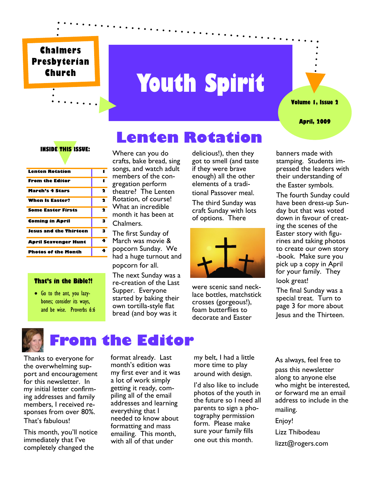#### **Chalmers Presbyterian Church**

# **Youth Spirit**

 **Lenten Rotation**

**Volume 1, Issue 2**

#### **April, 2009**

#### **INSIDE THIS ISSUE:**

| Lenten Rotation             |   |
|-----------------------------|---|
| <b>From the Editor</b>      | 1 |
| March's 4 Stars             | 2 |
| <b>When Is Easter?</b>      | 2 |
| <b>Some Easter Firsts</b>   | 2 |
| <b>Coming in April</b>      | з |
| Jesus and the Thirteen      | 3 |
| <b>April Scavenger Hunt</b> | 4 |
| <b>Photos of the Month</b>  | 4 |

#### **That's in the Bible?!**

 Go to the ant, you lazybones; consider its ways, and be wise. Proverbs 6:6

Where can you do crafts, bake bread, sing songs, and watch adult - members of the congregation perform theatre? The Lenten Rotation, of course! What an incredible month it has been at Chalmers.

The first Sunday of March was movie & popcorn Sunday. We had a huge turnout and popcorn for all.

The next Sunday was a re-creation of the Last Supper. Everyone started by baking their own tortilla-style flat bread (and boy was it

delicious!), then they got to smell (and taste if they were brave enough) all the other elements of a traditional Passover meal. The third Sunday was craft Sunday with lots of options. There



were scenic sand necklace bottles, matchstick crosses (gorgeous!), foam butterflies to decorate and Easter

banners made with stamping. Students impressed the leaders with their understanding of the Easter symbols.

The fourth Sunday could have been dress-up Sunday but that was voted down in favour of creating the scenes of the Easter story with figurines and taking photos to create our own story -book. Make sure you pick up a copy in April for your family. They look great!

The final Sunday was a special treat. Turn to page 3 for more about Jesus and the Thirteen.



#### **From the Editor**

Thanks to everyone for the overwhelming support and encouragement for this newsletter. In my initial letter confirming addresses and family members, I received responses from over 80%. That's fabulous!

This month, you'll notice immediately that I've completely changed the

format already. Last month's edition was my first ever and it was a lot of work simply getting it ready, compiling all of the email addresses and learning everything that I needed to know about formatting and mass emailing. This month, with all of that under

my belt, I had a little more time to play around with design.

I'd also like to include photos of the youth in the future so I need all parents to sign a photography permission form. Please make sure your family fills one out this month.

As always, feel free to

pass this newsletter along to anyone else who might be interested, or forward me an email address to include in the mailing.

Enjoy!

Lizz Thibodeau

lizzt@rogers.com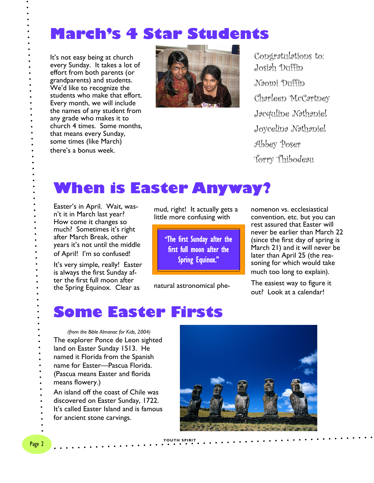#### **March's 4 Star Students**

It's not easy being at church every Sunday. It takes a lot of effort from both parents (or grandparents) and students. We'd like to recognize the students who make that effort. Every month, we will include the names of any student from any grade who makes it to church 4 times. Some months, that means every Sunday, some times (like March) there's a bonus week.



Congratulations to: Josiah Duffin Naomi Duffin Charleen McCartney Jacquline Nathaniel Joycelina Nathaniel Abbey Poser Torry Thibodeau

### **When is Easter Anyway?**

Easter's in April. Wait, wasn't it in March last year? How come it changes so much? Sometimes it's right after March Break, other years it's not until the middle of April! I'm so confused!

It's very simple, really! Easter is always the first Sunday after the first full moon after the Spring Equinox. Clear as

mud, right! It actually gets a little more confusing with

> "The first Sunday after the first full moon after the Spring Equinox."

natural astronomical phe-

nomenon vs. ecclesiastical convention, etc. but you can rest assured that Easter will never be earlier than March 22 (since the first day of spring is March 21) and it will never be later than April 25 (the reasoning for which would take much too long to explain).

The easiest way to figure it out? Look at a calendar!

#### **Some Easter Firsts**

*(from the Bible Almanac for Kids, 2004)* The explorer Ponce de Leon sighted land on Easter Sunday 1513. He named it Florida from the Spanish name for Easter—Pascua Florida. (Pascua means Easter and florida means flowery.) An island off the coast of Chile was discovered on Easter Sunday, 1722. It's called Easter Island and is famous for ancient stone carvings.



**YOUTH SPIRIT**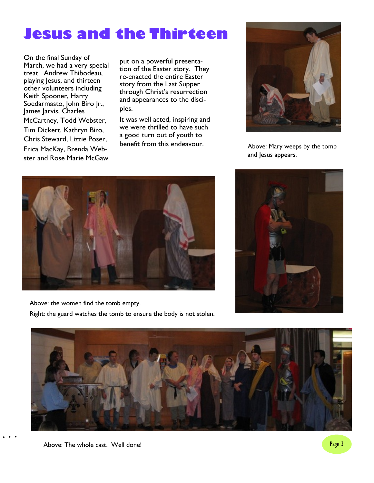### **Jesus and the Thirteen**

On the final Sunday of March, we had a very special treat. Andrew Thibodeau, playing Jesus, and thirteen other volunteers including Keith Spooner, Harry Soedarmasto, John Biro Jr., James Jarvis, Charles McCartney, Todd Webster, Tim Dickert, Kathryn Biro, Chris Steward, Lizzie Poser, Erica MacKay, Brenda Webster and Rose Marie McGaw

put on a powerful presentation of the Easter story. They re-enacted the entire Easter story from the Last Supper through Christ's resurrection and appearances to the disciples.

It was well acted, inspiring and we were thrilled to have such a good turn out of youth to benefit from this endeavour.



Above: Mary weeps by the tomb and Jesus appears.



Above: the women find the tomb empty.

Right: the guard watches the tomb to ensure the body is not stolen.